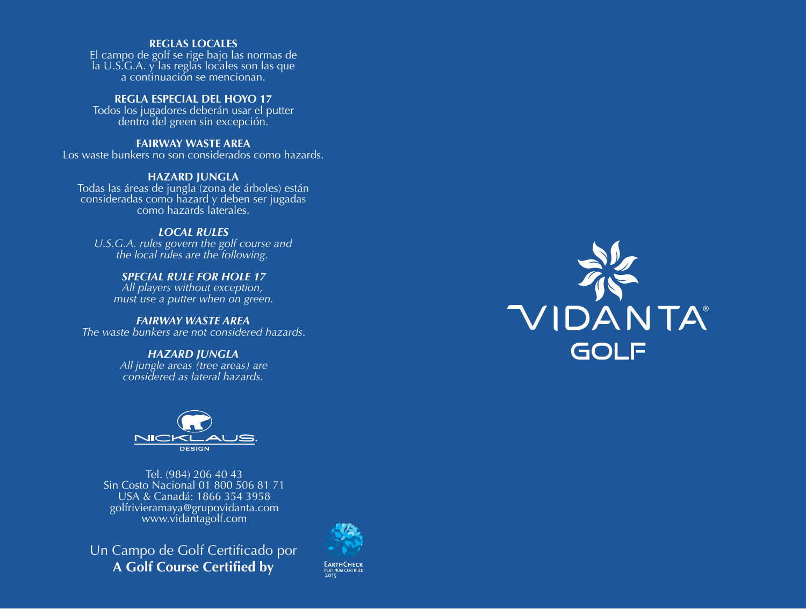#### **REGLAS LOCALES**

El campo de golf se rige bajo las normas de la U.S.G.A. y las reglas locales son las que a continuación se mencionan.

# **REGLA ESPECIAL DEL HOYO 17**

Todos los jugadores deberán usar el putter dentro del green sin excepción.

#### **FAIRWAY WASTE AREA**

Los waste bunkers no son considerados como hazards.

#### **HAZARD JUNGLA**

Todas las áreas de jungla (zona de árboles) están consideradas como hazard y deben ser jugadas como hazards laterales.

## *LOCAL RULES*

*U.S.G.A. rules govern the golf course and the local rules are the following.*

## *SPECIAL RULE FOR HOLE 17*

*All players without exception, must use a putter when on green.*

#### *FAIRWAY WASTE AREA The waste bunkers are not considered hazards.*

*HAZARD JUNGLA*

*All jungle areas (tree areas) are considered as lateral hazards.*



Tel. (984) 206 40 43 Sin Costo Nacional 01 800 506 81 71 USA & Canadá: 1866 354 3958 golfrivieramaya@grupovidanta.com www.vidantagolf.com

Un Campo de Golf Certificado por **A Golf Course Certified by**



**EARTHCHECK**<br>PLATINUM CERTIFIED